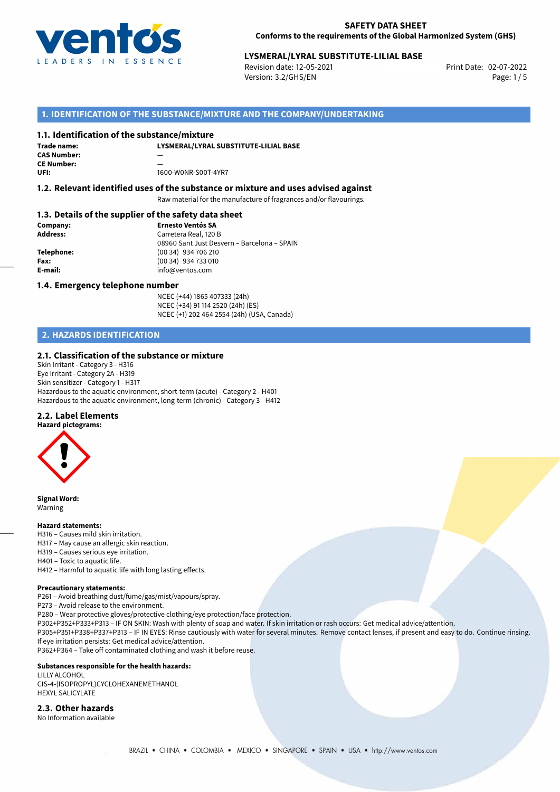

# **LYSMERAL/LYRAL SUBSTITUTE-LILIAL BASE**<br>Revision date: 12-05-2021<br>Print Date: 02-07-2022

Revision date: 12-05-2021 Version: 3.2/GHS/EN Page: 1/5

## **1. IDENTIFICATION OF THE SUBSTANCE/MIXTURE AND THE COMPANY/UNDERTAKING**

#### **1.1. Identification of the substance/mixture**

**LYSMERAL/LYRAL SUBSTITUTE-LILIAL BASE Trade name: CAS Number:** — **CE Number: UFI:** 1600-W0NR-S00T-4YR7

#### **1.2. Relevant identified uses of the substance or mixture and uses advised against**

Raw material for the manufacture of fragrances and/or flavourings.

#### **1.3. Details of the supplier of the safety data sheet**

| Company:        | <b>Ernesto Ventós SA</b>                    |
|-----------------|---------------------------------------------|
| <b>Address:</b> | Carretera Real, 120 B                       |
|                 | 08960 Sant Just Desvern - Barcelona - SPAIN |
| Telephone:      | (00 34) 934 706 210                         |
| Fax:            | (00 34) 934 733 010                         |
| E-mail:         | info@ventos.com                             |
|                 |                                             |

#### **1.4. Emergency telephone number**

NCEC (+44) 1865 407333 (24h) NCEC (+34) 91 114 2520 (24h) (ES) NCEC (+1) 202 464 2554 (24h) (USA, Canada)

# **2. HAZARDS IDENTIFICATION**

#### **2.1. Classification of the substance or mixture**

Skin Irritant - Category 3 - H316 Eye Irritant - Category 2A - H319 Skin sensitizer - Category 1 - H317 Hazardous to the aquatic environment, short-term (acute) - Category 2 - H401 Hazardous to the aquatic environment, long-term (chronic) - Category 3 - H412

#### **2.2. Label Elements**



**Signal Word:** Warning

#### **Hazard statements:**

- H316 Causes mild skin irritation.
- H317 May cause an allergic skin reaction.
- H319 Causes serious eye irritation.
- H401 Toxic to aquatic life.
- H412 Harmful to aquatic life with long lasting effects.

#### **Precautionary statements:**

P261 – Avoid breathing dust/fume/gas/mist/vapours/spray.

P273 – Avoid release to the environment.

- P280 Wear protective gloves/protective clothing/eye protection/face protection.
- P302+P352+P333+P313 IF ON SKIN: Wash with plenty of soap and water. If skin irritation or rash occurs: Get medical advice/attention.

P305+P351+P338+P337+P313 – IF IN EYES: Rinse cautiously with water for several minutes. Remove contact lenses, if present and easy to do. Continue rinsing. If eye irritation persists: Get medical advice/attention.

P362+P364 – Take off contaminated clothing and wash it before reuse.

#### **Substances responsible for the health hazards:**

LILLY ALCOHOL CIS-4-(ISOPROPYL)CYCLOHEXANEMETHANOL HEXYL SALICYLATE

#### **2.3. Other hazards**

No Information available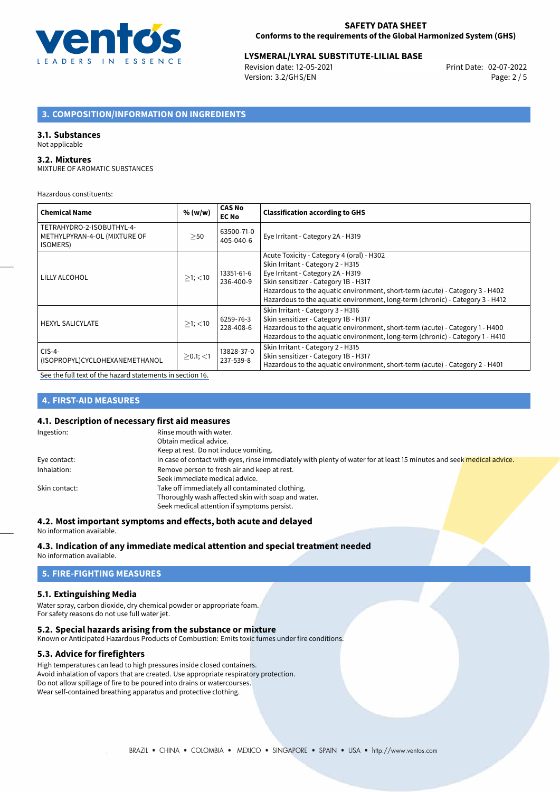

# **LYSMERAL/LYRAL SUBSTITUTE-LILIAL BASE**<br>Revision date: 12-05-2021<br>Print Date: 02-07-2022

Revision date: 12-05-2021 Version: 3.2/GHS/EN Page: 2 / 5

# **3. COMPOSITION/INFORMATION ON INGREDIENTS**

#### **3.1. Substances**

#### Not applicable

#### **3.2. Mixtures**

MIXTURE OF AROMATIC SUBSTANCES

Hazardous constituents:

| <b>Chemical Name</b>                                                         | % (w/w)       | <b>CAS No</b><br><b>EC No</b> | <b>Classification according to GHS</b>                                                                                                                                                                                                                                                                                       |
|------------------------------------------------------------------------------|---------------|-------------------------------|------------------------------------------------------------------------------------------------------------------------------------------------------------------------------------------------------------------------------------------------------------------------------------------------------------------------------|
| TETRAHYDRO-2-ISOBUTHYL-4-<br>METHYLPYRAN-4-OL (MIXTURE OF<br><b>ISOMERS)</b> | >50           | 63500-71-0<br>405-040-6       | Eye Irritant - Category 2A - H319                                                                                                                                                                                                                                                                                            |
| LILLY ALCOHOL                                                                | $>1$ ; $<$ 10 | 13351-61-6<br>236-400-9       | Acute Toxicity - Category 4 (oral) - H302<br>Skin Irritant - Category 2 - H315<br>Eye Irritant - Category 2A - H319<br>Skin sensitizer - Category 1B - H317<br>Hazardous to the aquatic environment, short-term (acute) - Category 3 - H402<br>Hazardous to the aquatic environment, long-term (chronic) - Category 3 - H412 |
| <b>HEXYL SALICYLATE</b>                                                      | $>1$ ; $<$ 10 | 6259-76-3<br>228-408-6        | Skin Irritant - Category 3 - H316<br>Skin sensitizer - Category 1B - H317<br>Hazardous to the aquatic environment, short-term (acute) - Category 1 - H400<br>Hazardous to the aquatic environment, long-term (chronic) - Category 1 - H410                                                                                   |
| $CIS-4-$<br>(ISOPROPYL)CYCLOHEXANEMETHANOL                                   | $>0.1$ ; <1   | 13828-37-0<br>237-539-8       | Skin Irritant - Category 2 - H315<br>Skin sensitizer - Category 1B - H317<br>Hazardous to the aquatic environment, short-term (acute) - Category 2 - H401                                                                                                                                                                    |

[See the full text of the hazard statements in section 16.](#page-4-0)

# **4. FIRST-AID MEASURES**

#### **4.1. Description of necessary first aid measures**

| Ingestion:    | Rinse mouth with water.                                                                                               |  |  |
|---------------|-----------------------------------------------------------------------------------------------------------------------|--|--|
|               | Obtain medical advice.                                                                                                |  |  |
|               | Keep at rest. Do not induce vomiting.                                                                                 |  |  |
| Eye contact:  | In case of contact with eyes, rinse immediately with plenty of water for at least 15 minutes and seek medical advice. |  |  |
| Inhalation:   | Remove person to fresh air and keep at rest.                                                                          |  |  |
|               | Seek immediate medical advice.                                                                                        |  |  |
| Skin contact: | Take off immediately all contaminated clothing.                                                                       |  |  |
|               | Thoroughly wash affected skin with soap and water.                                                                    |  |  |
|               | Seek medical attention if symptoms persist.                                                                           |  |  |

#### **4.2. Most important symptoms and effects, both acute and delayed**

No information available.

# **4.3. Indication of any immediate medical attention and special treatment needed**

No information available.

# **5. FIRE-FIGHTING MEASURES**

#### **5.1. Extinguishing Media**

Water spray, carbon dioxide, dry chemical powder or appropriate foam. For safety reasons do not use full water jet.

#### **5.2. Special hazards arising from the substance or mixture**

Known or Anticipated Hazardous Products of Combustion: Emits toxic fumes under fire conditions.

#### **5.3. Advice for firefighters**

High temperatures can lead to high pressures inside closed containers. Avoid inhalation of vapors that are created. Use appropriate respiratory protection. Do not allow spillage of fire to be poured into drains or watercourses. Wear self-contained breathing apparatus and protective clothing.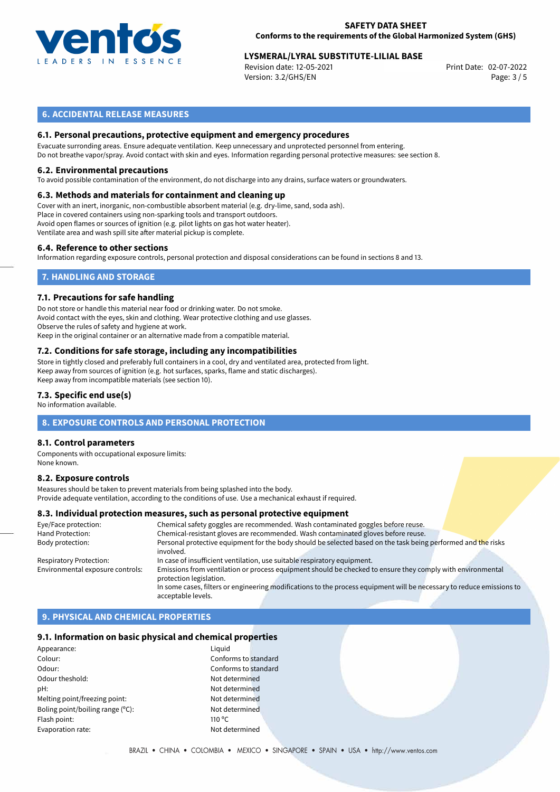

# **LYSMERAL/LYRAL SUBSTITUTE-LILIAL BASE**<br>Revision date: 12-05-2021<br>Print Date: 02-07-2022

Revision date: 12-05-2021 Version: 3.2/GHS/EN Page: 3 / 5

## **6. ACCIDENTAL RELEASE MEASURES**

### **6.1. Personal precautions, protective equipment and emergency procedures**

Evacuate surronding areas. Ensure adequate ventilation. Keep unnecessary and unprotected personnel from entering. Do not breathe vapor/spray. Avoid contact with skin and eyes. Information regarding personal protective measures: see section 8.

#### **6.2. Environmental precautions**

To avoid possible contamination of the environment, do not discharge into any drains, surface waters or groundwaters.

#### **6.3. Methods and materials for containment and cleaning up**

Cover with an inert, inorganic, non-combustible absorbent material (e.g. dry-lime, sand, soda ash). Place in covered containers using non-sparking tools and transport outdoors. Avoid open flames or sources of ignition (e.g. pilot lights on gas hot water heater). Ventilate area and wash spill site after material pickup is complete.

#### **6.4. Reference to other sections**

Information regarding exposure controls, personal protection and disposal considerations can be found in sections 8 and 13.

## **7. HANDLING AND STORAGE**

#### **7.1. Precautions for safe handling**

Do not store or handle this material near food or drinking water. Do not smoke. Avoid contact with the eyes, skin and clothing. Wear protective clothing and use glasses. Observe the rules of safety and hygiene at work. Keep in the original container or an alternative made from a compatible material.

# **7.2. Conditions for safe storage, including any incompatibilities**

Store in tightly closed and preferably full containers in a cool, dry and ventilated area, protected from light. Keep away from sources of ignition (e.g. hot surfaces, sparks, flame and static discharges). Keep away from incompatible materials (see section 10).

#### **7.3. Specific end use(s)**

No information available.

#### **8. EXPOSURE CONTROLS AND PERSONAL PROTECTION**

#### **8.1. Control parameters**

Components with occupational exposure limits: None known.

#### **8.2. Exposure controls**

Measures should be taken to prevent materials from being splashed into the body. Provide adequate ventilation, according to the conditions of use. Use a mechanical exhaust if required.

#### **8.3. Individual protection measures, such as personal protective equipment**

| Chemical safety goggles are recommended. Wash contaminated goggles before reuse.                                                      |
|---------------------------------------------------------------------------------------------------------------------------------------|
| Chemical-resistant gloves are recommended. Wash contaminated gloves before reuse.                                                     |
| Personal protective equipment for the body should be selected based on the task being performed and the risks<br>involved.            |
| In case of insufficient ventilation, use suitable respiratory equipment.                                                              |
| Emissions from ventilation or process equipment should be checked to ensure they comply with environmental<br>protection legislation. |
| In some cases, filters or engineering modifications to the process equipment will be necessary to reduce emissions to                 |
| acceptable levels.                                                                                                                    |
|                                                                                                                                       |

# **9. PHYSICAL AND CHEMICAL PROPERTIES**

#### **9.1. Information on basic physical and chemical properties**

| Appearance:                      | Liguid          |
|----------------------------------|-----------------|
| Colour:                          | Confo           |
| Odour:                           | Confo           |
| Odour theshold:                  | Not de          |
| pH:                              | Not de          |
| Melting point/freezing point:    | Not de          |
| Boling point/boiling range (°C): | Not de          |
| Flash point:                     | $110^{\circ}$ C |
| Evaporation rate:                | Not de          |
|                                  |                 |

Conforms to standard Conforms to standard Not determined Not determined Not determined Not determined Not determined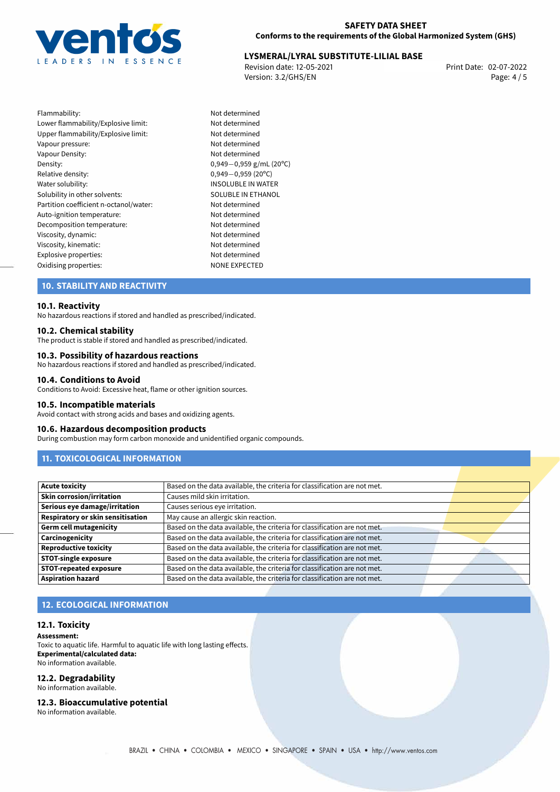

# **LYSMERAL/LYRAL SUBSTITUTE-LILIAL BASE**<br>Revision date: 12-05-2021<br>Print Date: 02-07-2022

Revision date: 12-05-2021 Version: 3.2/GHS/EN Page: 4 / 5

Flammability: Not determined Lower flammability/Explosive limit: Not determined Upper flammability/Explosive limit: Not determined Vapour pressure: Vapour pressure: Vapour Density: Not determined Density: 0,949−0,959 g/mL (20<sup>o</sup>C)<br>Relative density: 0,949−0,959 (20<sup>o</sup>C) Relative density: 0,949*−*0,959 (20ºC) Solubility in other solvents: SOLUBLE IN ETHANOL Partition coefficient n-octanol/water: Not determined Auto-ignition temperature:<br>
Decomposition temperature:<br>
Not determined Decomposition temperature: Viscosity, dynamic: Not determined Viscosity, kinematic: Not determined Explosive properties:<br>
Oxidising properties:<br>
NONE EXPECTED Oxidising properties:

INSOLUBLE IN WATER

# **10. STABILITY AND REACTIVITY**

#### **10.1. Reactivity**

No hazardous reactions if stored and handled as prescribed/indicated.

#### **10.2. Chemical stability**

The product is stable if stored and handled as prescribed/indicated.

#### **10.3. Possibility of hazardous reactions**

No hazardous reactions if stored and handled as prescribed/indicated.

#### **10.4. Conditions to Avoid**

Conditions to Avoid: Excessive heat, flame or other ignition sources.

#### **10.5. Incompatible materials**

Avoid contact with strong acids and bases and oxidizing agents.

#### **10.6. Hazardous decomposition products**

During combustion may form carbon monoxide and unidentified organic compounds.

# **11. TOXICOLOGICAL INFORMATION**

| <b>Acute toxicity</b>             | Based on the data available, the criteria for classification are not met. |  |
|-----------------------------------|---------------------------------------------------------------------------|--|
| <b>Skin corrosion/irritation</b>  | Causes mild skin irritation.                                              |  |
| Serious eye damage/irritation     | Causes serious eye irritation.                                            |  |
| Respiratory or skin sensitisation | May cause an allergic skin reaction.                                      |  |
| <b>Germ cell mutagenicity</b>     | Based on the data available, the criteria for classification are not met. |  |
| Carcinogenicity                   | Based on the data available, the criteria for classification are not met. |  |
| <b>Reproductive toxicity</b>      | Based on the data available, the criteria for classification are not met. |  |
| <b>STOT-single exposure</b>       | Based on the data available, the criteria for classification are not met. |  |
| <b>STOT-repeated exposure</b>     | Based on the data available, the criteria for classification are not met. |  |
| <b>Aspiration hazard</b>          | Based on the data available, the criteria for classification are not met. |  |

### **12. ECOLOGICAL INFORMATION**

#### **12.1. Toxicity**

**Assessment:** Toxic to aquatic life. Harmful to aquatic life with long lasting effects. **Experimental/calculated data:** No information available.

#### **12.2. Degradability**

No information available.

**12.3. Bioaccumulative potential**

No information available.